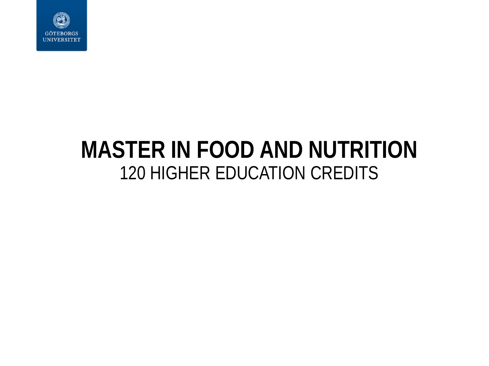

### **MASTER IN FOOD AND NUTRITION** 120 HIGHER EDUCATION CREDITS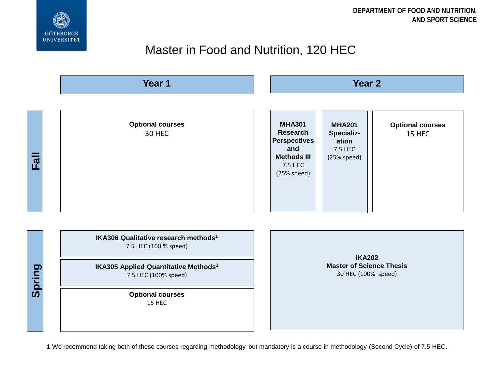

#### Master in Food and Nutrition, 120 HEC



**1** We recommend taking both of these courses regarding methodology but mandatory is a course in methodology (Second Cycle) of 7.5 HEC.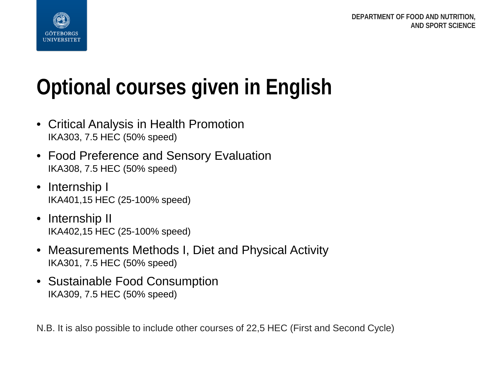



# **Optional courses given in English**

- Critical Analysis in Health Promotion IKA303, 7.5 HEC (50% speed)
- Food Preference and Sensory Evaluation IKA308, 7.5 HEC (50% speed)
- Internship I IKA401,15 HEC (25-100% speed)
- Internship II IKA402,15 HEC (25-100% speed)
- Measurements Methods I, Diet and Physical Activity IKA301, 7.5 HEC (50% speed)
- Sustainable Food Consumption IKA309, 7.5 HEC (50% speed)

N.B. It is also possible to include other courses of 22,5 HEC (First and Second Cycle)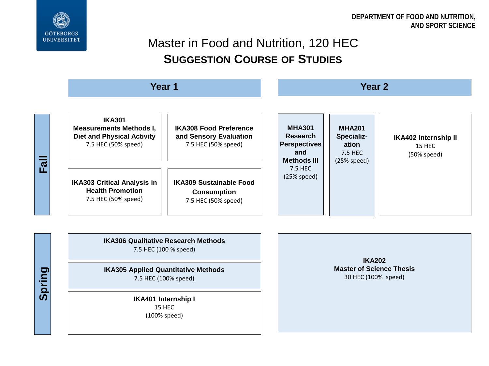

**Spring**

### Master in Food and Nutrition, 120 HEC **SUGGESTION COURSE OF STUDIES**

|                       | Year 1                                                                                                      |                                                                                | Year <sub>2</sub>                                                                                              |                                                                |                                                      |
|-----------------------|-------------------------------------------------------------------------------------------------------------|--------------------------------------------------------------------------------|----------------------------------------------------------------------------------------------------------------|----------------------------------------------------------------|------------------------------------------------------|
|                       | <b>IKA301</b><br><b>Measurements Methods I,</b><br><b>Diet and Physical Activity</b><br>7.5 HEC (50% speed) | <b>IKA308 Food Preference</b><br>and Sensory Evaluation<br>7.5 HEC (50% speed) | <b>MHA301</b><br><b>Research</b><br><b>Perspectives</b><br>and<br><b>Methods III</b><br>7.5 HEC<br>(25% speed) | <b>MHA201</b><br>Specializ-<br>ation<br>7.5 HEC<br>(25% speed) | <b>IKA402 Internship II</b><br>15 HEC<br>(50% speed) |
| $\boldsymbol{\varpi}$ | <b>IKA303 Critical Analysis in</b><br><b>Health Promotion</b><br>7.5 HEC (50% speed)                        | <b>IKA309 Sustainable Food</b><br><b>Consumption</b><br>7.5 HEC (50% speed)    |                                                                                                                |                                                                |                                                      |

**IKA306 Qualitative Research Methods** 7.5 HEC (100 % speed)

**IKA305 Applied Quantitative Methods** 7.5 HEC (100% speed)

> **IKA401 Internship I** 15 HEC (100% speed)

**IKA202 Master of Science Thesis** 30 HEC (100% speed)